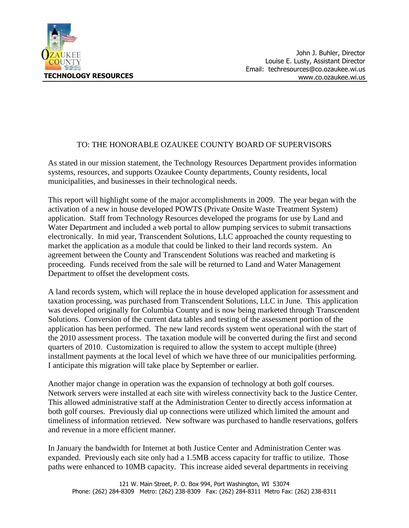

## TO: THE HONORABLE OZAUKEE COUNTY BOARD OF SUPERVISORS

As stated in our mission statement, the Technology Resources Department provides information systems, resources, and supports Ozaukee County departments, County residents, local municipalities, and businesses in their technological needs.

This report will highlight some of the major accomplishments in 2009. The year began with the activation of a new in house developed POWTS (Private Onsite Waste Treatment System) application. Staff from Technology Resources developed the programs for use by Land and Water Department and included a web portal to allow pumping services to submit transactions electronically. In mid year, Transcendent Solutions, LLC approached the county requesting to market the application as a module that could be linked to their land records system. An agreement between the County and Transcendent Solutions was reached and marketing is proceeding. Funds received from the sale will be returned to Land and Water Management Department to offset the development costs.

A land records system, which will replace the in house developed application for assessment and taxation processing, was purchased from Transcendent Solutions, LLC in June. This application was developed originally for Columbia County and is now being marketed through Transcendent Solutions. Conversion of the current data tables and testing of the assessment portion of the application has been performed. The new land records system went operational with the start of the 2010 assessment process. The taxation module will be converted during the first and second quarters of 2010. Customization is required to allow the system to accept multiple (three) installment payments at the local level of which we have three of our municipalities performing. I anticipate this migration will take place by September or earlier.

Another major change in operation was the expansion of technology at both golf courses. Network servers were installed at each site with wireless connectivity back to the Justice Center. This allowed administrative staff at the Administration Center to directly access information at both golf courses. Previously dial up connections were utilized which limited the amount and timeliness of information retrieved. New software was purchased to handle reservations, golfers and revenue in a more efficient manner.

In January the bandwidth for Internet at both Justice Center and Administration Center was expanded. Previously each site only had a 1.5MB access capacity for traffic to utilize. Those paths were enhanced to 10MB capacity. This increase aided several departments in receiving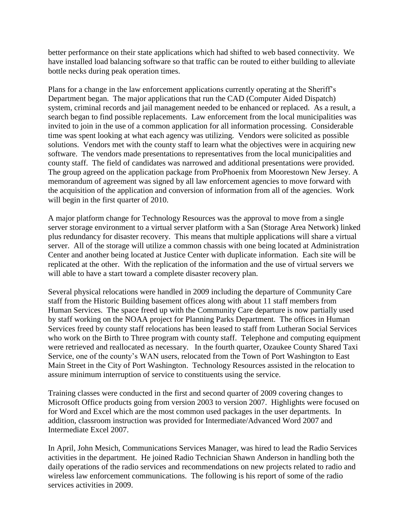better performance on their state applications which had shifted to web based connectivity. We have installed load balancing software so that traffic can be routed to either building to alleviate bottle necks during peak operation times.

Plans for a change in the law enforcement applications currently operating at the Sheriff's Department began. The major applications that run the CAD (Computer Aided Dispatch) system, criminal records and jail management needed to be enhanced or replaced. As a result, a search began to find possible replacements. Law enforcement from the local municipalities was invited to join in the use of a common application for all information processing. Considerable time was spent looking at what each agency was utilizing. Vendors were solicited as possible solutions. Vendors met with the county staff to learn what the objectives were in acquiring new software. The vendors made presentations to representatives from the local municipalities and county staff. The field of candidates was narrowed and additional presentations were provided. The group agreed on the application package from ProPhoenix from Moorestown New Jersey. A memorandum of agreement was signed by all law enforcement agencies to move forward with the acquisition of the application and conversion of information from all of the agencies. Work will begin in the first quarter of 2010.

A major platform change for Technology Resources was the approval to move from a single server storage environment to a virtual server platform with a San (Storage Area Network) linked plus redundancy for disaster recovery. This means that multiple applications will share a virtual server. All of the storage will utilize a common chassis with one being located at Administration Center and another being located at Justice Center with duplicate information. Each site will be replicated at the other. With the replication of the information and the use of virtual servers we will able to have a start toward a complete disaster recovery plan.

Several physical relocations were handled in 2009 including the departure of Community Care staff from the Historic Building basement offices along with about 11 staff members from Human Services. The space freed up with the Community Care departure is now partially used by staff working on the NOAA project for Planning Parks Department. The offices in Human Services freed by county staff relocations has been leased to staff from Lutheran Social Services who work on the Birth to Three program with county staff. Telephone and computing equipment were retrieved and reallocated as necessary. In the fourth quarter, Ozaukee County Shared Taxi Service, one of the county's WAN users, relocated from the Town of Port Washington to East Main Street in the City of Port Washington. Technology Resources assisted in the relocation to assure minimum interruption of service to constituents using the service.

Training classes were conducted in the first and second quarter of 2009 covering changes to Microsoft Office products going from version 2003 to version 2007. Highlights were focused on for Word and Excel which are the most common used packages in the user departments. In addition, classroom instruction was provided for Intermediate/Advanced Word 2007 and Intermediate Excel 2007.

In April, John Mesich, Communications Services Manager, was hired to lead the Radio Services activities in the department. He joined Radio Technician Shawn Anderson in handling both the daily operations of the radio services and recommendations on new projects related to radio and wireless law enforcement communications. The following is his report of some of the radio services activities in 2009.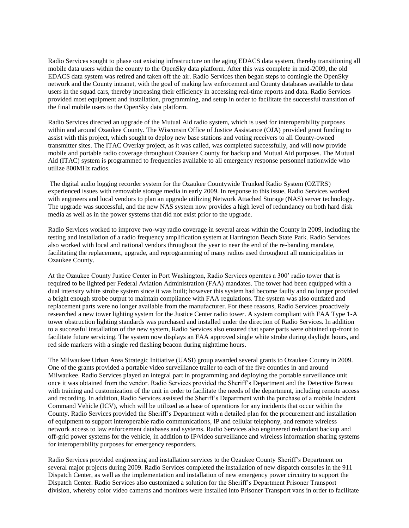Radio Services sought to phase out existing infrastructure on the aging EDACS data system, thereby transitioning all mobile data users within the county to the OpenSky data platform. After this was complete in mid-2009, the old EDACS data system was retired and taken off the air. Radio Services then began steps to comingle the OpenSky network and the County intranet, with the goal of making law enforcement and County databases available to data users in the squad cars, thereby increasing their efficiency in accessing real-time reports and data. Radio Services provided most equipment and installation, programming, and setup in order to facilitate the successful transition of the final mobile users to the OpenSky data platform.

Radio Services directed an upgrade of the Mutual Aid radio system, which is used for interoperability purposes within and around Ozaukee County. The Wisconsin Office of Justice Assistance (OJA) provided grant funding to assist with this project, which sought to deploy new base stations and voting receivers to all County-owned transmitter sites. The ITAC Overlay project, as it was called, was completed successfully, and will now provide mobile and portable radio coverage throughout Ozaukee County for backup and Mutual Aid purposes. The Mutual Aid (ITAC) system is programmed to frequencies available to all emergency response personnel nationwide who utilize 800MHz radios.

The digital audio logging recorder system for the Ozaukee Countywide Trunked Radio System (OZTRS) experienced issues with removable storage media in early 2009. In response to this issue, Radio Services worked with engineers and local vendors to plan an upgrade utilizing Network Attached Storage (NAS) server technology. The upgrade was successful, and the new NAS system now provides a high level of redundancy on both hard disk media as well as in the power systems that did not exist prior to the upgrade.

Radio Services worked to improve two-way radio coverage in several areas within the County in 2009, including the testing and installation of a radio frequency amplification system at Harrington Beach State Park. Radio Services also worked with local and national vendors throughout the year to near the end of the re-banding mandate, facilitating the replacement, upgrade, and reprogramming of many radios used throughout all municipalities in Ozaukee County.

At the Ozaukee County Justice Center in Port Washington, Radio Services operates a 300' radio tower that is required to be lighted per Federal Aviation Administration (FAA) mandates. The tower had been equipped with a dual intensity white strobe system since it was built; however this system had become faulty and no longer provided a bright enough strobe output to maintain compliance with FAA regulations. The system was also outdated and replacement parts were no longer available from the manufacturer. For these reasons, Radio Services proactively researched a new tower lighting system for the Justice Center radio tower. A system compliant with FAA Type 1-A tower obstruction lighting standards was purchased and installed under the direction of Radio Services. In addition to a successful installation of the new system, Radio Services also ensured that spare parts were obtained up-front to facilitate future servicing. The system now displays an FAA approved single white strobe during daylight hours, and red side markers with a single red flashing beacon during nighttime hours.

The Milwaukee Urban Area Strategic Initiative (UASI) group awarded several grants to Ozaukee County in 2009. One of the grants provided a portable video surveillance trailer to each of the five counties in and around Milwaukee. Radio Services played an integral part in programming and deploying the portable surveillance unit once it was obtained from the vendor. Radio Services provided the Sheriff's Department and the Detective Bureau with training and customization of the unit in order to facilitate the needs of the department, including remote access and recording. In addition, Radio Services assisted the Sheriff's Department with the purchase of a mobile Incident Command Vehicle (ICV), which will be utilized as a base of operations for any incidents that occur within the County. Radio Services provided the Sheriff's Department with a detailed plan for the procurement and installation of equipment to support interoperable radio communications, IP and cellular telephony, and remote wireless network access to law enforcement databases and systems. Radio Services also engineered redundant backup and off-grid power systems for the vehicle, in addition to IP/video surveillance and wireless information sharing systems for interoperability purposes for emergency responders.

Radio Services provided engineering and installation services to the Ozaukee County Sheriff's Department on several major projects during 2009. Radio Services completed the installation of new dispatch consoles in the 911 Dispatch Center, as well as the implementation and installation of new emergency power circuitry to support the Dispatch Center. Radio Services also customized a solution for the Sheriff's Department Prisoner Transport division, whereby color video cameras and monitors were installed into Prisoner Transport vans in order to facilitate